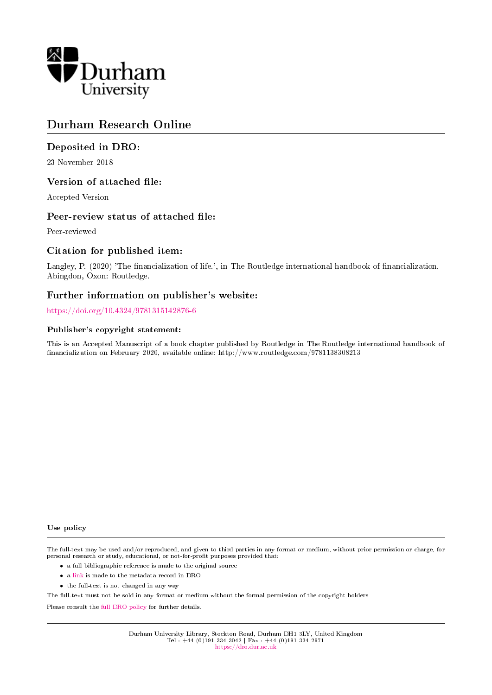

# Durham Research Online

## Deposited in DRO:

23 November 2018

### Version of attached file:

Accepted Version

### Peer-review status of attached file:

Peer-reviewed

## Citation for published item:

Langley, P. (2020) 'The financialization of life.', in The Routledge international handbook of financialization. Abingdon, Oxon: Routledge.

## Further information on publisher's website:

<https://doi.org/10.4324/9781315142876-6>

### Publisher's copyright statement:

This is an Accepted Manuscript of a book chapter published by Routledge in The Routledge international handbook of nancialization on February 2020, available online: http://www.routledge.com/9781138308213

#### Use policy

The full-text may be used and/or reproduced, and given to third parties in any format or medium, without prior permission or charge, for personal research or study, educational, or not-for-profit purposes provided that:

- a full bibliographic reference is made to the original source
- a [link](http://dro.dur.ac.uk/26847/) is made to the metadata record in DRO
- the full-text is not changed in any way

The full-text must not be sold in any format or medium without the formal permission of the copyright holders.

Please consult the [full DRO policy](https://dro.dur.ac.uk/policies/usepolicy.pdf) for further details.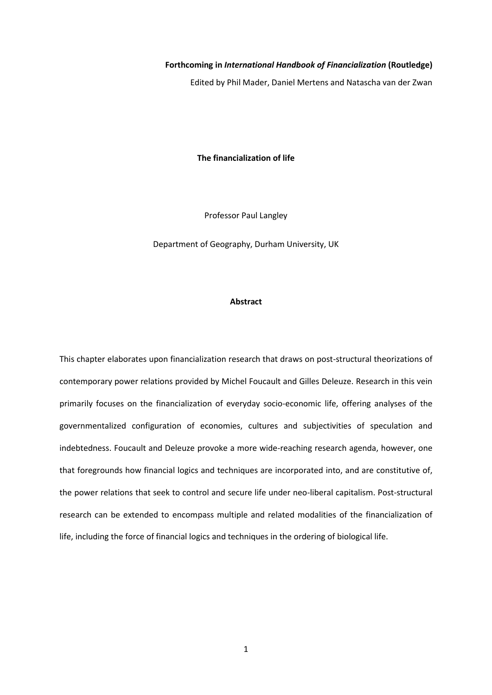#### **Forthcoming in** *International Handbook of Financialization* **(Routledge)**

Edited by Phil Mader, Daniel Mertens and Natascha van der Zwan

**The financialization of life**

Professor Paul Langley

Department of Geography, Durham University, UK

#### **Abstract**

This chapter elaborates upon financialization research that draws on post-structural theorizations of contemporary power relations provided by Michel Foucault and Gilles Deleuze. Research in this vein primarily focuses on the financialization of everyday socio-economic life, offering analyses of the governmentalized configuration of economies, cultures and subjectivities of speculation and indebtedness. Foucault and Deleuze provoke a more wide-reaching research agenda, however, one that foregrounds how financial logics and techniques are incorporated into, and are constitutive of, the power relations that seek to control and secure life under neo-liberal capitalism. Post-structural research can be extended to encompass multiple and related modalities of the financialization of life, including the force of financial logics and techniques in the ordering of biological life.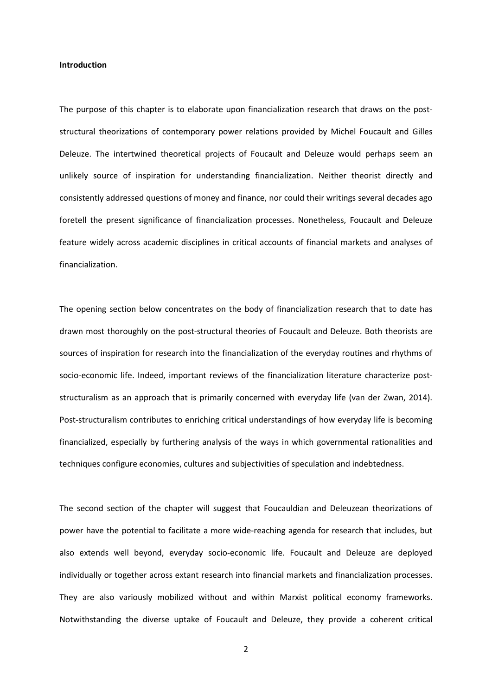#### **Introduction**

The purpose of this chapter is to elaborate upon financialization research that draws on the poststructural theorizations of contemporary power relations provided by Michel Foucault and Gilles Deleuze. The intertwined theoretical projects of Foucault and Deleuze would perhaps seem an unlikely source of inspiration for understanding financialization. Neither theorist directly and consistently addressed questions of money and finance, nor could their writings several decades ago foretell the present significance of financialization processes. Nonetheless, Foucault and Deleuze feature widely across academic disciplines in critical accounts of financial markets and analyses of financialization.

The opening section below concentrates on the body of financialization research that to date has drawn most thoroughly on the post-structural theories of Foucault and Deleuze. Both theorists are sources of inspiration for research into the financialization of the everyday routines and rhythms of socio-economic life. Indeed, important reviews of the financialization literature characterize poststructuralism as an approach that is primarily concerned with everyday life (van der Zwan, 2014). Post-structuralism contributes to enriching critical understandings of how everyday life is becoming financialized, especially by furthering analysis of the ways in which governmental rationalities and techniques configure economies, cultures and subjectivities of speculation and indebtedness.

The second section of the chapter will suggest that Foucauldian and Deleuzean theorizations of power have the potential to facilitate a more wide-reaching agenda for research that includes, but also extends well beyond, everyday socio-economic life. Foucault and Deleuze are deployed individually or together across extant research into financial markets and financialization processes. They are also variously mobilized without and within Marxist political economy frameworks. Notwithstanding the diverse uptake of Foucault and Deleuze, they provide a coherent critical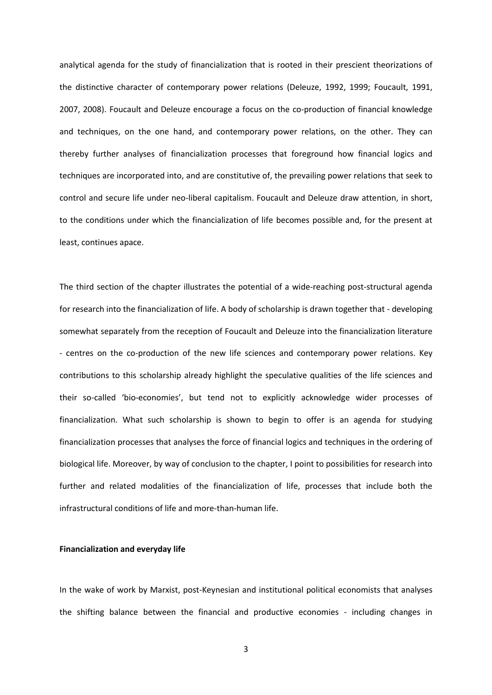analytical agenda for the study of financialization that is rooted in their prescient theorizations of the distinctive character of contemporary power relations (Deleuze, 1992, 1999; Foucault, 1991, 2007, 2008). Foucault and Deleuze encourage a focus on the co-production of financial knowledge and techniques, on the one hand, and contemporary power relations, on the other. They can thereby further analyses of financialization processes that foreground how financial logics and techniques are incorporated into, and are constitutive of, the prevailing power relations that seek to control and secure life under neo-liberal capitalism. Foucault and Deleuze draw attention, in short, to the conditions under which the financialization of life becomes possible and, for the present at least, continues apace.

The third section of the chapter illustrates the potential of a wide-reaching post-structural agenda for research into the financialization of life. A body of scholarship is drawn together that - developing somewhat separately from the reception of Foucault and Deleuze into the financialization literature - centres on the co-production of the new life sciences and contemporary power relations. Key contributions to this scholarship already highlight the speculative qualities of the life sciences and their so-called 'bio-economies', but tend not to explicitly acknowledge wider processes of financialization. What such scholarship is shown to begin to offer is an agenda for studying financialization processes that analyses the force of financial logics and techniques in the ordering of biological life. Moreover, by way of conclusion to the chapter, I point to possibilities for research into further and related modalities of the financialization of life, processes that include both the infrastructural conditions of life and more-than-human life.

#### **Financialization and everyday life**

In the wake of work by Marxist, post-Keynesian and institutional political economists that analyses the shifting balance between the financial and productive economies - including changes in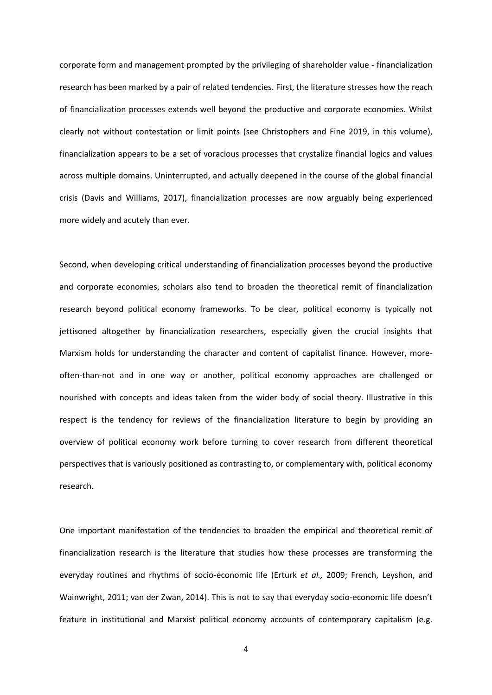corporate form and management prompted by the privileging of shareholder value - financialization research has been marked by a pair of related tendencies. First, the literature stresses how the reach of financialization processes extends well beyond the productive and corporate economies. Whilst clearly not without contestation or limit points (see Christophers and Fine 2019, in this volume), financialization appears to be a set of voracious processes that crystalize financial logics and values across multiple domains. Uninterrupted, and actually deepened in the course of the global financial crisis (Davis and Williams, 2017), financialization processes are now arguably being experienced more widely and acutely than ever.

Second, when developing critical understanding of financialization processes beyond the productive and corporate economies, scholars also tend to broaden the theoretical remit of financialization research beyond political economy frameworks. To be clear, political economy is typically not jettisoned altogether by financialization researchers, especially given the crucial insights that Marxism holds for understanding the character and content of capitalist finance. However, moreoften-than-not and in one way or another, political economy approaches are challenged or nourished with concepts and ideas taken from the wider body of social theory. Illustrative in this respect is the tendency for reviews of the financialization literature to begin by providing an overview of political economy work before turning to cover research from different theoretical perspectives that is variously positioned as contrasting to, or complementary with, political economy research.

One important manifestation of the tendencies to broaden the empirical and theoretical remit of financialization research is the literature that studies how these processes are transforming the everyday routines and rhythms of socio-economic life (Erturk *et al.,* 2009; French, Leyshon, and Wainwright, 2011; van der Zwan, 2014). This is not to say that everyday socio-economic life doesn't feature in institutional and Marxist political economy accounts of contemporary capitalism (e.g.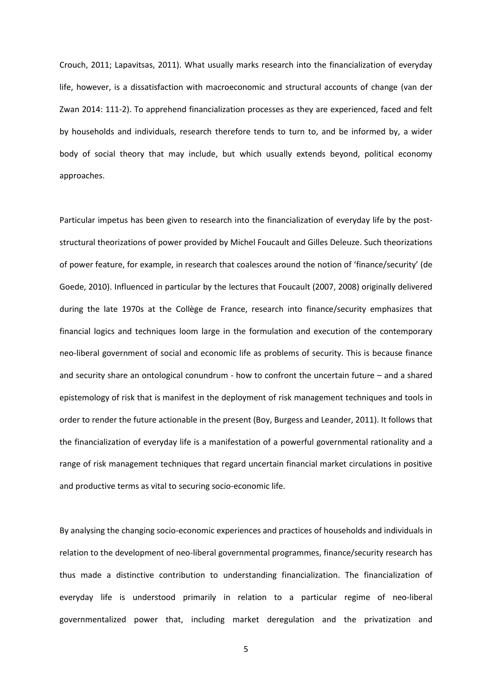Crouch, 2011; Lapavitsas, 2011). What usually marks research into the financialization of everyday life, however, is a dissatisfaction with macroeconomic and structural accounts of change (van der Zwan 2014: 111-2). To apprehend financialization processes as they are experienced, faced and felt by households and individuals, research therefore tends to turn to, and be informed by, a wider body of social theory that may include, but which usually extends beyond, political economy approaches.

Particular impetus has been given to research into the financialization of everyday life by the poststructural theorizations of power provided by Michel Foucault and Gilles Deleuze. Such theorizations of power feature, for example, in research that coalesces around the notion of 'finance/security' (de Goede, 2010). Influenced in particular by the lectures that Foucault (2007, 2008) originally delivered during the late 1970s at the Collège de France, research into finance/security emphasizes that financial logics and techniques loom large in the formulation and execution of the contemporary neo-liberal government of social and economic life as problems of security. This is because finance and security share an ontological conundrum - how to confront the uncertain future – and a shared epistemology of risk that is manifest in the deployment of risk management techniques and tools in order to render the future actionable in the present (Boy, Burgess and Leander, 2011). It follows that the financialization of everyday life is a manifestation of a powerful governmental rationality and a range of risk management techniques that regard uncertain financial market circulations in positive and productive terms as vital to securing socio-economic life.

By analysing the changing socio-economic experiences and practices of households and individuals in relation to the development of neo-liberal governmental programmes, finance/security research has thus made a distinctive contribution to understanding financialization. The financialization of everyday life is understood primarily in relation to a particular regime of neo-liberal governmentalized power that, including market deregulation and the privatization and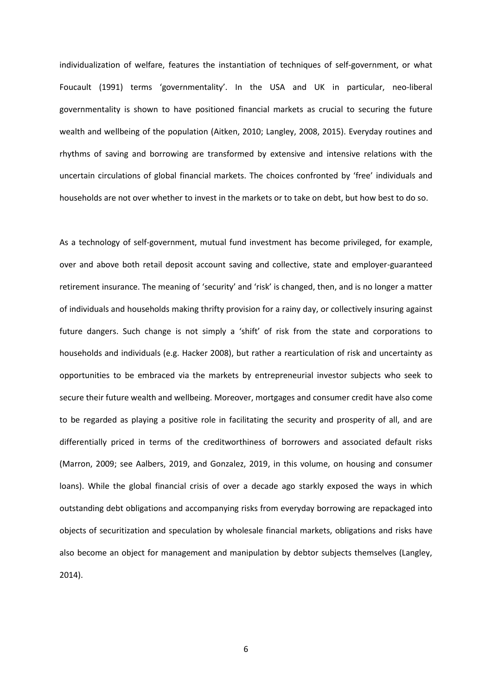individualization of welfare, features the instantiation of techniques of self-government, or what Foucault (1991) terms 'governmentality'. In the USA and UK in particular, neo-liberal governmentality is shown to have positioned financial markets as crucial to securing the future wealth and wellbeing of the population (Aitken, 2010; Langley, 2008, 2015). Everyday routines and rhythms of saving and borrowing are transformed by extensive and intensive relations with the uncertain circulations of global financial markets. The choices confronted by 'free' individuals and households are not over whether to invest in the markets or to take on debt, but how best to do so.

As a technology of self-government, mutual fund investment has become privileged, for example, over and above both retail deposit account saving and collective, state and employer-guaranteed retirement insurance. The meaning of 'security' and 'risk' is changed, then, and is no longer a matter of individuals and households making thrifty provision for a rainy day, or collectively insuring against future dangers. Such change is not simply a 'shift' of risk from the state and corporations to households and individuals (e.g. Hacker 2008), but rather a rearticulation of risk and uncertainty as opportunities to be embraced via the markets by entrepreneurial investor subjects who seek to secure their future wealth and wellbeing. Moreover, mortgages and consumer credit have also come to be regarded as playing a positive role in facilitating the security and prosperity of all, and are differentially priced in terms of the creditworthiness of borrowers and associated default risks (Marron, 2009; see Aalbers, 2019, and Gonzalez, 2019, in this volume, on housing and consumer loans). While the global financial crisis of over a decade ago starkly exposed the ways in which outstanding debt obligations and accompanying risks from everyday borrowing are repackaged into objects of securitization and speculation by wholesale financial markets, obligations and risks have also become an object for management and manipulation by debtor subjects themselves (Langley, 2014).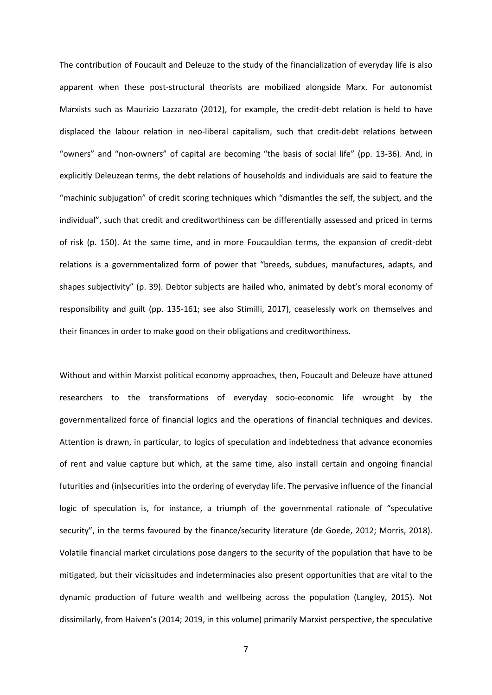The contribution of Foucault and Deleuze to the study of the financialization of everyday life is also apparent when these post-structural theorists are mobilized alongside Marx. For autonomist Marxists such as Maurizio Lazzarato (2012), for example, the credit-debt relation is held to have displaced the labour relation in neo-liberal capitalism, such that credit-debt relations between "owners" and "non-owners" of capital are becoming "the basis of social life" (pp. 13-36). And, in explicitly Deleuzean terms, the debt relations of households and individuals are said to feature the "machinic subjugation" of credit scoring techniques which "dismantles the self, the subject, and the individual", such that credit and creditworthiness can be differentially assessed and priced in terms of risk (p. 150). At the same time, and in more Foucauldian terms, the expansion of credit-debt relations is a governmentalized form of power that "breeds, subdues, manufactures, adapts, and shapes subjectivity" (p. 39). Debtor subjects are hailed who, animated by debt's moral economy of responsibility and guilt (pp. 135-161; see also Stimilli, 2017), ceaselessly work on themselves and their finances in order to make good on their obligations and creditworthiness.

Without and within Marxist political economy approaches, then, Foucault and Deleuze have attuned researchers to the transformations of everyday socio-economic life wrought by the governmentalized force of financial logics and the operations of financial techniques and devices. Attention is drawn, in particular, to logics of speculation and indebtedness that advance economies of rent and value capture but which, at the same time, also install certain and ongoing financial futurities and (in)securities into the ordering of everyday life. The pervasive influence of the financial logic of speculation is, for instance, a triumph of the governmental rationale of "speculative security", in the terms favoured by the finance/security literature (de Goede, 2012; Morris, 2018). Volatile financial market circulations pose dangers to the security of the population that have to be mitigated, but their vicissitudes and indeterminacies also present opportunities that are vital to the dynamic production of future wealth and wellbeing across the population (Langley, 2015). Not dissimilarly, from Haiven's (2014; 2019, in this volume) primarily Marxist perspective, the speculative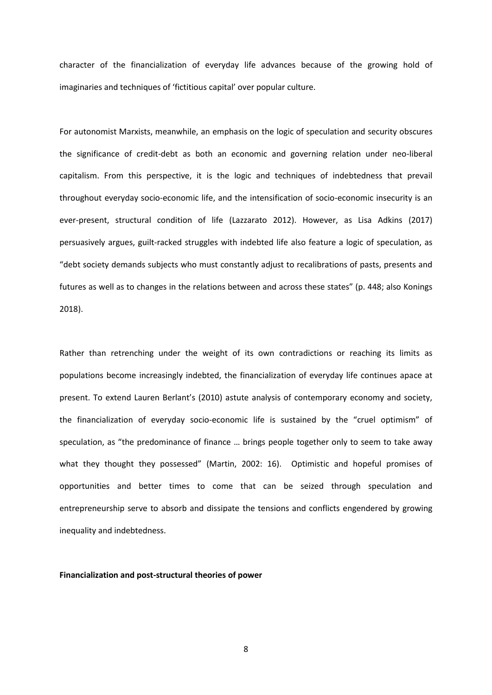character of the financialization of everyday life advances because of the growing hold of imaginaries and techniques of 'fictitious capital' over popular culture.

For autonomist Marxists, meanwhile, an emphasis on the logic of speculation and security obscures the significance of credit-debt as both an economic and governing relation under neo-liberal capitalism. From this perspective, it is the logic and techniques of indebtedness that prevail throughout everyday socio-economic life, and the intensification of socio-economic insecurity is an ever-present, structural condition of life (Lazzarato 2012). However, as Lisa Adkins (2017) persuasively argues, guilt-racked struggles with indebted life also feature a logic of speculation, as "debt society demands subjects who must constantly adjust to recalibrations of pasts, presents and futures as well as to changes in the relations between and across these states" (p. 448; also Konings 2018).

Rather than retrenching under the weight of its own contradictions or reaching its limits as populations become increasingly indebted, the financialization of everyday life continues apace at present. To extend Lauren Berlant's (2010) astute analysis of contemporary economy and society, the financialization of everyday socio-economic life is sustained by the "cruel optimism" of speculation, as "the predominance of finance … brings people together only to seem to take away what they thought they possessed" (Martin, 2002: 16). Optimistic and hopeful promises of opportunities and better times to come that can be seized through speculation and entrepreneurship serve to absorb and dissipate the tensions and conflicts engendered by growing inequality and indebtedness.

#### **Financialization and post-structural theories of power**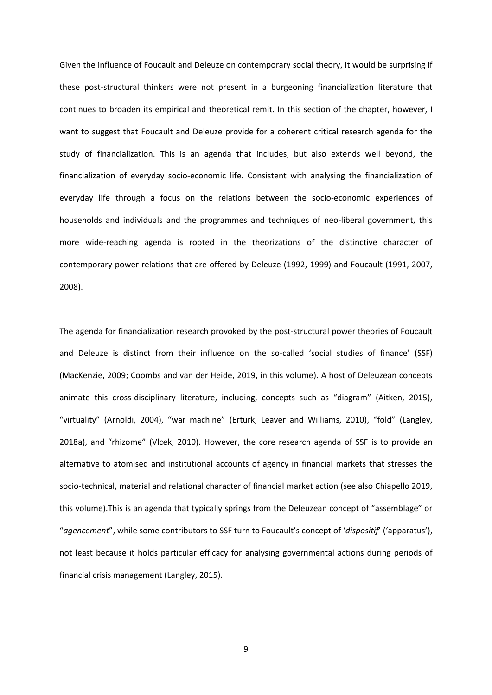Given the influence of Foucault and Deleuze on contemporary social theory, it would be surprising if these post-structural thinkers were not present in a burgeoning financialization literature that continues to broaden its empirical and theoretical remit. In this section of the chapter, however, I want to suggest that Foucault and Deleuze provide for a coherent critical research agenda for the study of financialization. This is an agenda that includes, but also extends well beyond, the financialization of everyday socio-economic life. Consistent with analysing the financialization of everyday life through a focus on the relations between the socio-economic experiences of households and individuals and the programmes and techniques of neo-liberal government, this more wide-reaching agenda is rooted in the theorizations of the distinctive character of contemporary power relations that are offered by Deleuze (1992, 1999) and Foucault (1991, 2007, 2008).

The agenda for financialization research provoked by the post-structural power theories of Foucault and Deleuze is distinct from their influence on the so-called 'social studies of finance' (SSF) (MacKenzie, 2009; Coombs and van der Heide, 2019, in this volume). A host of Deleuzean concepts animate this cross-disciplinary literature, including, concepts such as "diagram" (Aitken, 2015), "virtuality" (Arnoldi, 2004), "war machine" (Erturk, Leaver and Williams, 2010), "fold" (Langley, 2018a), and "rhizome" (Vlcek, 2010). However, the core research agenda of SSF is to provide an alternative to atomised and institutional accounts of agency in financial markets that stresses the socio-technical, material and relational character of financial market action (see also Chiapello 2019, this volume).This is an agenda that typically springs from the Deleuzean concept of "assemblage" or "*agencement*", while some contributors to SSF turn to Foucault's concept of '*dispositif*' ('apparatus'), not least because it holds particular efficacy for analysing governmental actions during periods of financial crisis management (Langley, 2015).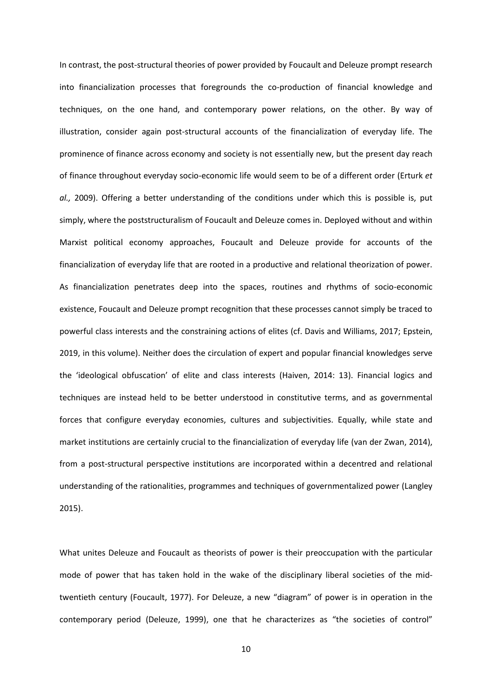In contrast, the post-structural theories of power provided by Foucault and Deleuze prompt research into financialization processes that foregrounds the co-production of financial knowledge and techniques, on the one hand, and contemporary power relations, on the other. By way of illustration, consider again post-structural accounts of the financialization of everyday life. The prominence of finance across economy and society is not essentially new, but the present day reach of finance throughout everyday socio-economic life would seem to be of a different order (Erturk *et al.,* 2009). Offering a better understanding of the conditions under which this is possible is, put simply, where the poststructuralism of Foucault and Deleuze comes in. Deployed without and within Marxist political economy approaches, Foucault and Deleuze provide for accounts of the financialization of everyday life that are rooted in a productive and relational theorization of power. As financialization penetrates deep into the spaces, routines and rhythms of socio-economic existence, Foucault and Deleuze prompt recognition that these processes cannot simply be traced to powerful class interests and the constraining actions of elites (cf. Davis and Williams, 2017; Epstein, 2019, in this volume). Neither does the circulation of expert and popular financial knowledges serve the 'ideological obfuscation' of elite and class interests (Haiven, 2014: 13). Financial logics and techniques are instead held to be better understood in constitutive terms, and as governmental forces that configure everyday economies, cultures and subjectivities. Equally, while state and market institutions are certainly crucial to the financialization of everyday life (van der Zwan, 2014), from a post-structural perspective institutions are incorporated within a decentred and relational understanding of the rationalities, programmes and techniques of governmentalized power (Langley 2015).

What unites Deleuze and Foucault as theorists of power is their preoccupation with the particular mode of power that has taken hold in the wake of the disciplinary liberal societies of the midtwentieth century (Foucault, 1977). For Deleuze, a new "diagram" of power is in operation in the contemporary period (Deleuze, 1999), one that he characterizes as "the societies of control"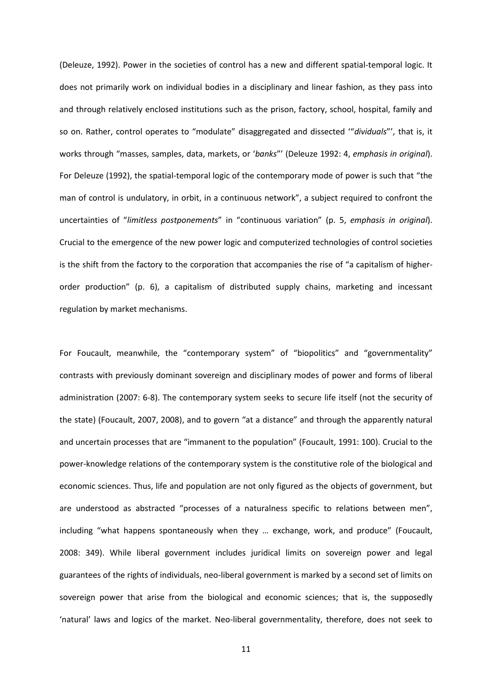(Deleuze, 1992). Power in the societies of control has a new and different spatial-temporal logic. It does not primarily work on individual bodies in a disciplinary and linear fashion, as they pass into and through relatively enclosed institutions such as the prison, factory, school, hospital, family and so on. Rather, control operates to "modulate" disaggregated and dissected '"*dividuals*"', that is, it works through "masses, samples, data, markets, or '*banks*"' (Deleuze 1992: 4, *emphasis in original*). For Deleuze (1992), the spatial-temporal logic of the contemporary mode of power is such that "the man of control is undulatory, in orbit, in a continuous network", a subject required to confront the uncertainties of "*limitless postponements*" in "continuous variation" (p. 5, *emphasis in original*). Crucial to the emergence of the new power logic and computerized technologies of control societies is the shift from the factory to the corporation that accompanies the rise of "a capitalism of higherorder production" (p. 6), a capitalism of distributed supply chains, marketing and incessant regulation by market mechanisms.

For Foucault, meanwhile, the "contemporary system" of "biopolitics" and "governmentality" contrasts with previously dominant sovereign and disciplinary modes of power and forms of liberal administration (2007: 6-8). The contemporary system seeks to secure life itself (not the security of the state) (Foucault, 2007, 2008), and to govern "at a distance" and through the apparently natural and uncertain processes that are "immanent to the population" (Foucault, 1991: 100). Crucial to the power-knowledge relations of the contemporary system is the constitutive role of the biological and economic sciences. Thus, life and population are not only figured as the objects of government, but are understood as abstracted "processes of a naturalness specific to relations between men", including "what happens spontaneously when they … exchange, work, and produce" (Foucault, 2008: 349). While liberal government includes juridical limits on sovereign power and legal guarantees of the rights of individuals, neo-liberal government is marked by a second set of limits on sovereign power that arise from the biological and economic sciences; that is, the supposedly 'natural' laws and logics of the market. Neo-liberal governmentality, therefore, does not seek to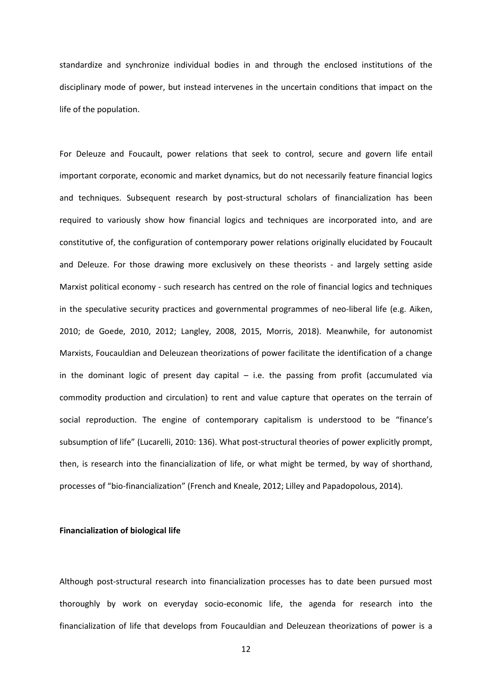standardize and synchronize individual bodies in and through the enclosed institutions of the disciplinary mode of power, but instead intervenes in the uncertain conditions that impact on the life of the population.

For Deleuze and Foucault, power relations that seek to control, secure and govern life entail important corporate, economic and market dynamics, but do not necessarily feature financial logics and techniques. Subsequent research by post-structural scholars of financialization has been required to variously show how financial logics and techniques are incorporated into, and are constitutive of, the configuration of contemporary power relations originally elucidated by Foucault and Deleuze. For those drawing more exclusively on these theorists - and largely setting aside Marxist political economy - such research has centred on the role of financial logics and techniques in the speculative security practices and governmental programmes of neo-liberal life (e.g. Aiken, 2010; de Goede, 2010, 2012; Langley, 2008, 2015, Morris, 2018). Meanwhile, for autonomist Marxists, Foucauldian and Deleuzean theorizations of power facilitate the identification of a change in the dominant logic of present day capital  $-$  i.e. the passing from profit (accumulated via commodity production and circulation) to rent and value capture that operates on the terrain of social reproduction. The engine of contemporary capitalism is understood to be "finance's subsumption of life" (Lucarelli, 2010: 136). What post-structural theories of power explicitly prompt, then, is research into the financialization of life, or what might be termed, by way of shorthand, processes of "bio-financialization" (French and Kneale, 2012; Lilley and Papadopolous, 2014).

#### **Financialization of biological life**

Although post-structural research into financialization processes has to date been pursued most thoroughly by work on everyday socio-economic life, the agenda for research into the financialization of life that develops from Foucauldian and Deleuzean theorizations of power is a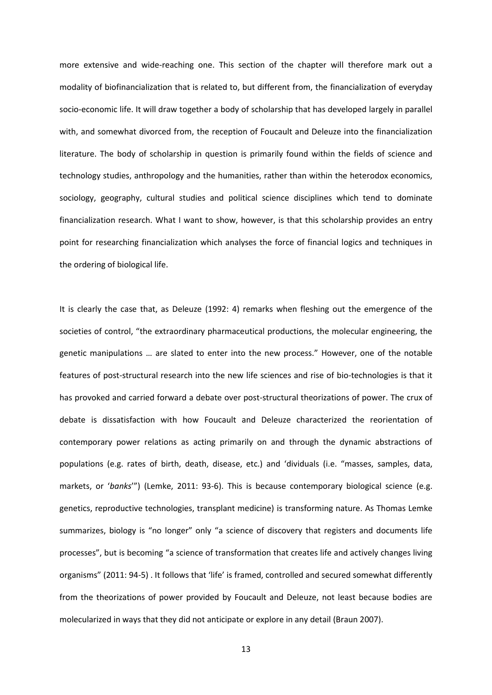more extensive and wide-reaching one. This section of the chapter will therefore mark out a modality of biofinancialization that is related to, but different from, the financialization of everyday socio-economic life. It will draw together a body of scholarship that has developed largely in parallel with, and somewhat divorced from, the reception of Foucault and Deleuze into the financialization literature. The body of scholarship in question is primarily found within the fields of science and technology studies, anthropology and the humanities, rather than within the heterodox economics, sociology, geography, cultural studies and political science disciplines which tend to dominate financialization research. What I want to show, however, is that this scholarship provides an entry point for researching financialization which analyses the force of financial logics and techniques in the ordering of biological life.

It is clearly the case that, as Deleuze (1992: 4) remarks when fleshing out the emergence of the societies of control, "the extraordinary pharmaceutical productions, the molecular engineering, the genetic manipulations … are slated to enter into the new process." However, one of the notable features of post-structural research into the new life sciences and rise of bio-technologies is that it has provoked and carried forward a debate over post-structural theorizations of power. The crux of debate is dissatisfaction with how Foucault and Deleuze characterized the reorientation of contemporary power relations as acting primarily on and through the dynamic abstractions of populations (e.g. rates of birth, death, disease, etc.) and 'dividuals (i.e. "masses, samples, data, markets, or '*banks*'") (Lemke, 2011: 93-6). This is because contemporary biological science (e.g. genetics, reproductive technologies, transplant medicine) is transforming nature. As Thomas Lemke summarizes, biology is "no longer" only "a science of discovery that registers and documents life processes", but is becoming "a science of transformation that creates life and actively changes living organisms" (2011: 94-5) . It follows that 'life' is framed, controlled and secured somewhat differently from the theorizations of power provided by Foucault and Deleuze, not least because bodies are molecularized in ways that they did not anticipate or explore in any detail (Braun 2007).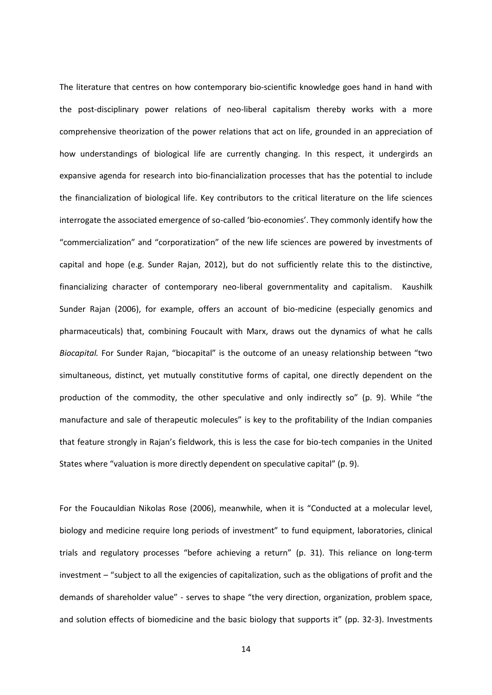The literature that centres on how contemporary bio-scientific knowledge goes hand in hand with the post-disciplinary power relations of neo-liberal capitalism thereby works with a more comprehensive theorization of the power relations that act on life, grounded in an appreciation of how understandings of biological life are currently changing. In this respect, it undergirds an expansive agenda for research into bio-financialization processes that has the potential to include the financialization of biological life. Key contributors to the critical literature on the life sciences interrogate the associated emergence of so-called 'bio-economies'. They commonly identify how the "commercialization" and "corporatization" of the new life sciences are powered by investments of capital and hope (e.g. Sunder Rajan, 2012), but do not sufficiently relate this to the distinctive, financializing character of contemporary neo-liberal governmentality and capitalism. Kaushilk Sunder Rajan (2006), for example, offers an account of bio-medicine (especially genomics and pharmaceuticals) that, combining Foucault with Marx, draws out the dynamics of what he calls *Biocapital.* For Sunder Rajan, "biocapital" is the outcome of an uneasy relationship between "two simultaneous, distinct, yet mutually constitutive forms of capital, one directly dependent on the production of the commodity, the other speculative and only indirectly so" (p. 9). While "the manufacture and sale of therapeutic molecules" is key to the profitability of the Indian companies that feature strongly in Rajan's fieldwork, this is less the case for bio-tech companies in the United States where "valuation is more directly dependent on speculative capital" (p. 9).

For the Foucauldian Nikolas Rose (2006), meanwhile, when it is "Conducted at a molecular level, biology and medicine require long periods of investment" to fund equipment, laboratories, clinical trials and regulatory processes "before achieving a return" (p. 31). This reliance on long-term investment – "subject to all the exigencies of capitalization, such as the obligations of profit and the demands of shareholder value" - serves to shape "the very direction, organization, problem space, and solution effects of biomedicine and the basic biology that supports it" (pp. 32-3). Investments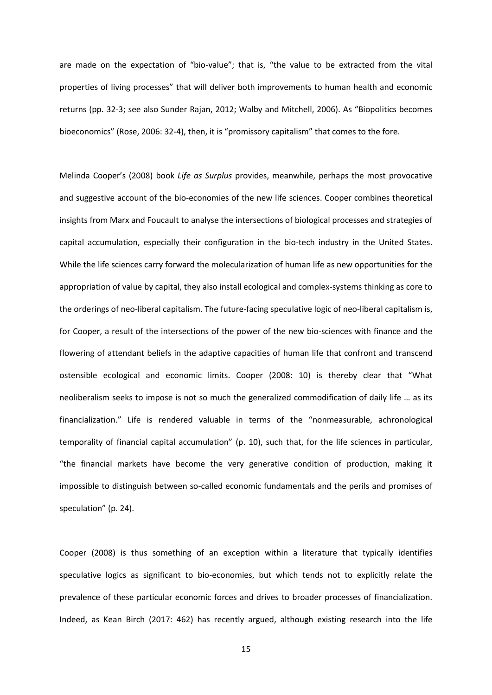are made on the expectation of "bio-value"; that is, "the value to be extracted from the vital properties of living processes" that will deliver both improvements to human health and economic returns (pp. 32-3; see also Sunder Rajan, 2012; Walby and Mitchell, 2006). As "Biopolitics becomes bioeconomics" (Rose, 2006: 32-4), then, it is "promissory capitalism" that comes to the fore.

Melinda Cooper's (2008) book *Life as Surplus* provides, meanwhile, perhaps the most provocative and suggestive account of the bio-economies of the new life sciences. Cooper combines theoretical insights from Marx and Foucault to analyse the intersections of biological processes and strategies of capital accumulation, especially their configuration in the bio-tech industry in the United States. While the life sciences carry forward the molecularization of human life as new opportunities for the appropriation of value by capital, they also install ecological and complex-systems thinking as core to the orderings of neo-liberal capitalism. The future-facing speculative logic of neo-liberal capitalism is, for Cooper, a result of the intersections of the power of the new bio-sciences with finance and the flowering of attendant beliefs in the adaptive capacities of human life that confront and transcend ostensible ecological and economic limits. Cooper (2008: 10) is thereby clear that "What neoliberalism seeks to impose is not so much the generalized commodification of daily life … as its financialization." Life is rendered valuable in terms of the "nonmeasurable, achronological temporality of financial capital accumulation" (p. 10), such that, for the life sciences in particular, "the financial markets have become the very generative condition of production, making it impossible to distinguish between so-called economic fundamentals and the perils and promises of speculation" (p. 24).

Cooper (2008) is thus something of an exception within a literature that typically identifies speculative logics as significant to bio-economies, but which tends not to explicitly relate the prevalence of these particular economic forces and drives to broader processes of financialization. Indeed, as Kean Birch (2017: 462) has recently argued, although existing research into the life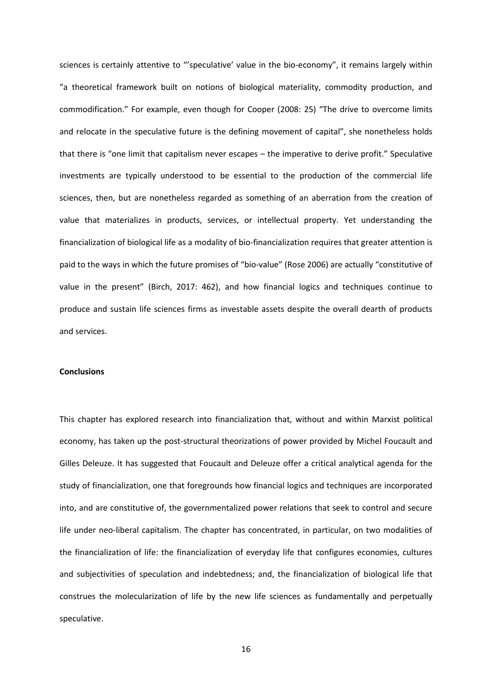sciences is certainly attentive to "'speculative' value in the bio-economy", it remains largely within "a theoretical framework built on notions of biological materiality, commodity production, and commodification." For example, even though for Cooper (2008: 25) "The drive to overcome limits and relocate in the speculative future is the defining movement of capital", she nonetheless holds that there is "one limit that capitalism never escapes – the imperative to derive profit." Speculative investments are typically understood to be essential to the production of the commercial life sciences, then, but are nonetheless regarded as something of an aberration from the creation of value that materializes in products, services, or intellectual property. Yet understanding the financialization of biological life as a modality of bio-financialization requires that greater attention is paid to the ways in which the future promises of "bio-value" (Rose 2006) are actually "constitutive of value in the present" (Birch, 2017: 462), and how financial logics and techniques continue to produce and sustain life sciences firms as investable assets despite the overall dearth of products and services.

#### **Conclusions**

This chapter has explored research into financialization that, without and within Marxist political economy, has taken up the post-structural theorizations of power provided by Michel Foucault and Gilles Deleuze. It has suggested that Foucault and Deleuze offer a critical analytical agenda for the study of financialization, one that foregrounds how financial logics and techniques are incorporated into, and are constitutive of, the governmentalized power relations that seek to control and secure life under neo-liberal capitalism. The chapter has concentrated, in particular, on two modalities of the financialization of life: the financialization of everyday life that configures economies, cultures and subjectivities of speculation and indebtedness; and, the financialization of biological life that construes the molecularization of life by the new life sciences as fundamentally and perpetually speculative.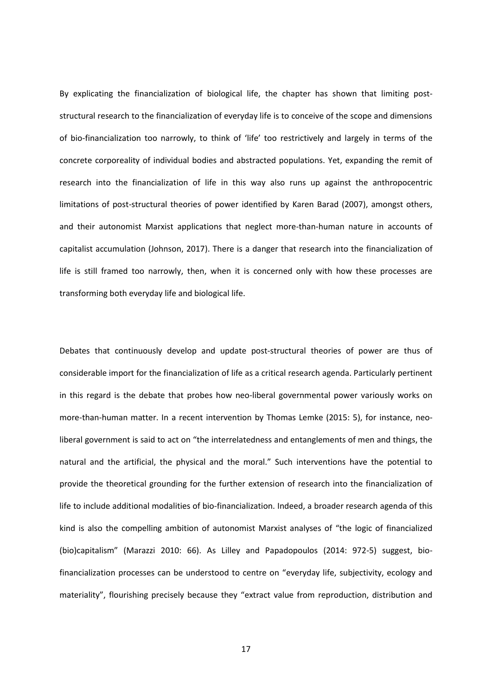By explicating the financialization of biological life, the chapter has shown that limiting poststructural research to the financialization of everyday life is to conceive of the scope and dimensions of bio-financialization too narrowly, to think of 'life' too restrictively and largely in terms of the concrete corporeality of individual bodies and abstracted populations. Yet, expanding the remit of research into the financialization of life in this way also runs up against the anthropocentric limitations of post-structural theories of power identified by Karen Barad (2007), amongst others, and their autonomist Marxist applications that neglect more-than-human nature in accounts of capitalist accumulation (Johnson, 2017). There is a danger that research into the financialization of life is still framed too narrowly, then, when it is concerned only with how these processes are transforming both everyday life and biological life.

Debates that continuously develop and update post-structural theories of power are thus of considerable import for the financialization of life as a critical research agenda. Particularly pertinent in this regard is the debate that probes how neo-liberal governmental power variously works on more-than-human matter. In a recent intervention by Thomas Lemke (2015: 5), for instance, neoliberal government is said to act on "the interrelatedness and entanglements of men and things, the natural and the artificial, the physical and the moral." Such interventions have the potential to provide the theoretical grounding for the further extension of research into the financialization of life to include additional modalities of bio-financialization. Indeed, a broader research agenda of this kind is also the compelling ambition of autonomist Marxist analyses of "the logic of financialized (bio)capitalism" (Marazzi 2010: 66). As Lilley and Papadopoulos (2014: 972-5) suggest, biofinancialization processes can be understood to centre on "everyday life, subjectivity, ecology and materiality", flourishing precisely because they "extract value from reproduction, distribution and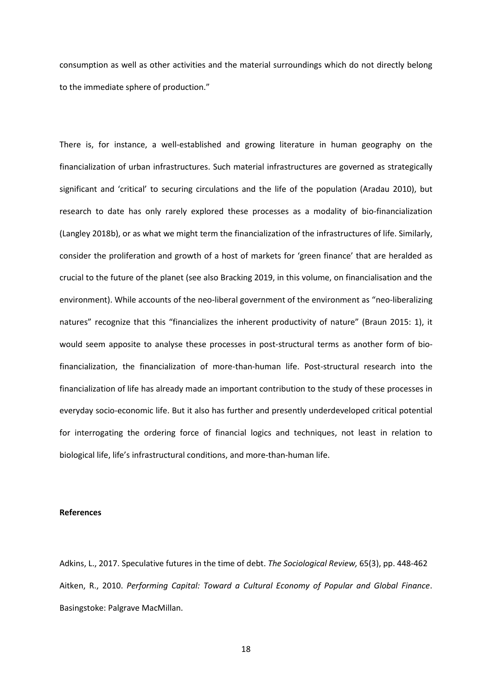consumption as well as other activities and the material surroundings which do not directly belong to the immediate sphere of production."

There is, for instance, a well-established and growing literature in human geography on the financialization of urban infrastructures. Such material infrastructures are governed as strategically significant and 'critical' to securing circulations and the life of the population (Aradau 2010), but research to date has only rarely explored these processes as a modality of bio-financialization (Langley 2018b), or as what we might term the financialization of the infrastructures of life. Similarly, consider the proliferation and growth of a host of markets for 'green finance' that are heralded as crucial to the future of the planet (see also Bracking 2019, in this volume, on financialisation and the environment). While accounts of the neo-liberal government of the environment as "neo-liberalizing natures" recognize that this "financializes the inherent productivity of nature" (Braun 2015: 1), it would seem apposite to analyse these processes in post-structural terms as another form of biofinancialization, the financialization of more-than-human life. Post-structural research into the financialization of life has already made an important contribution to the study of these processes in everyday socio-economic life. But it also has further and presently underdeveloped critical potential for interrogating the ordering force of financial logics and techniques, not least in relation to biological life, life's infrastructural conditions, and more-than-human life.

#### **References**

Adkins, L., 2017. Speculative futures in the time of debt. *The Sociological Review,* 65(3), pp. 448-462 Aitken, R., 2010. *Performing Capital: Toward a Cultural Economy of Popular and Global Finance*. Basingstoke: Palgrave MacMillan.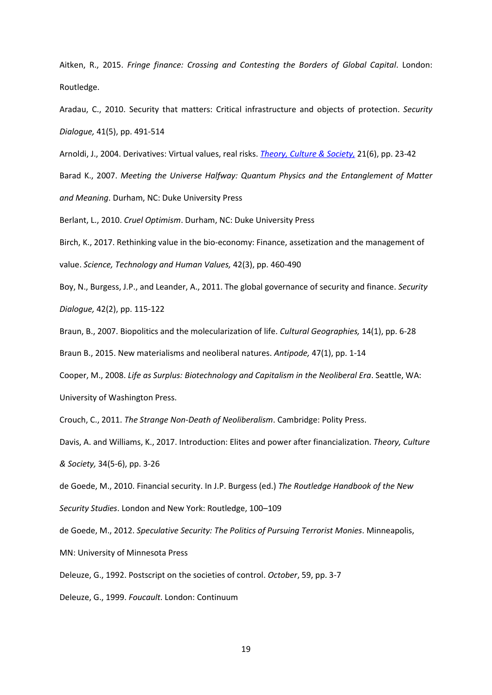Aitken, R., 2015. *Fringe finance: Crossing and Contesting the Borders of Global Capital*. London: Routledge.

Aradau, C., 2010. Security that matters: Critical infrastructure and objects of protection. *Security Dialogue,* 41(5), pp. 491-514

Arnoldi, J., 2004. Derivatives: Virtual values, real risks. *[Theory, Culture &](https://philpapers.org/asearch.pl?pub=2525) Society,* 21(6), pp. 23-42

Barad K., 2007. *Meeting the Universe Halfway: Quantum Physics and the Entanglement of Matter and Meaning*. Durham, NC: Duke University Press

Berlant, L., 2010. *Cruel Optimism*. Durham, NC: Duke University Press

Birch, K., 2017. Rethinking value in the bio-economy: Finance, assetization and the management of value. *Science, Technology and Human Values,* 42(3), pp. 460-490

Boy, N., Burgess, J.P., and Leander, A., 2011. The global governance of security and finance. *Security Dialogue,* 42(2), pp. 115-122

Braun, B., 2007. Biopolitics and the molecularization of life. *Cultural Geographies,* 14(1), pp. 6-28

Braun B., 2015. New materialisms and neoliberal natures. *Antipode,* 47(1), pp. 1-14

Cooper, M., 2008. *Life as Surplus: Biotechnology and Capitalism in the Neoliberal Era*. Seattle, WA: University of Washington Press.

Crouch, C., 2011. *The Strange Non-Death of Neoliberalism*. Cambridge: Polity Press.

Davis, A. and Williams, K., 2017. Introduction: Elites and power after financialization. *Theory, Culture & Society,* 34(5-6), pp. 3-26

de Goede, M., 2010. Financial security. In J.P. Burgess (ed.) *The Routledge Handbook of the New Security Studies*. London and New York: Routledge, 100–109

de Goede, M., 2012. *Speculative Security: The Politics of Pursuing Terrorist Monies*. Minneapolis,

MN: University of Minnesota Press

Deleuze, G., 1992. Postscript on the societies of control. *October*, 59, pp. 3-7

Deleuze, G., 1999. *Foucault*. London: Continuum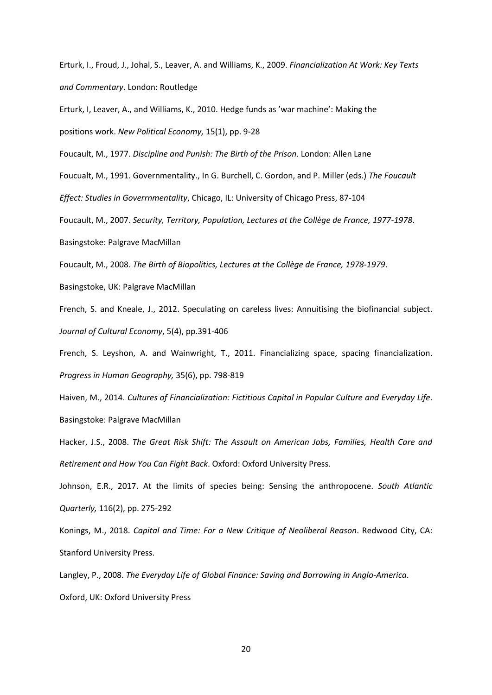Erturk, I., Froud, J., Johal, S., Leaver, A. and Williams, K., 2009. *Financialization At Work: Key Texts and Commentary*. London: Routledge

Erturk, I, Leaver, A., and Williams, K., 2010. Hedge funds as 'war machine': Making the

positions work. *New Political Economy,* 15(1), pp. 9-28

Foucault, M., 1977. *Discipline and Punish: The Birth of the Prison*. London: Allen Lane

Foucualt, M., 1991. Governmentality., In G. Burchell, C. Gordon, and P. Miller (eds.) *The Foucault* 

*Effect: Studies in Goverrnmentality*, Chicago, IL: University of Chicago Press, 87-104

Foucault, M., 2007. *Security, Territory, Population, Lectures at the Collège de France, 1977-1978*.

Basingstoke: Palgrave MacMillan

Foucault, M., 2008. *The Birth of Biopolitics, Lectures at the Collège de France, 1978-1979*.

Basingstoke, UK: Palgrave MacMillan

French, S. and Kneale, J., 2012. Speculating on careless lives: Annuitising the biofinancial subject. *Journal of Cultural Economy*, 5(4), pp.391-406

French, S. Leyshon, A. and Wainwright, T., 2011. [Financializing space, spacing financialization.](http://phg.sagepub.com/content/35/6/798) *Progress in Human Geography,* 35(6), pp. 798-819

Haiven, M., 2014. *Cultures of Financialization: Fictitious Capital in Popular Culture and Everyday Life*. Basingstoke: Palgrave MacMillan

Hacker, J.S., 2008. *The Great Risk Shift: The Assault on American Jobs, Families, Health Care and Retirement and How You Can Fight Back*. Oxford: Oxford University Press.

Johnson, E.R., 2017. At the limits of species being: Sensing the anthropocene. *South Atlantic Quarterly,* 116(2), pp. 275-292

Konings, M., 2018. *Capital and Time: For a New Critique of Neoliberal Reason*. Redwood City, CA: Stanford University Press.

Langley, P., 2008. *The Everyday Life of Global Finance: Saving and Borrowing in Anglo-America*. Oxford, UK: Oxford University Press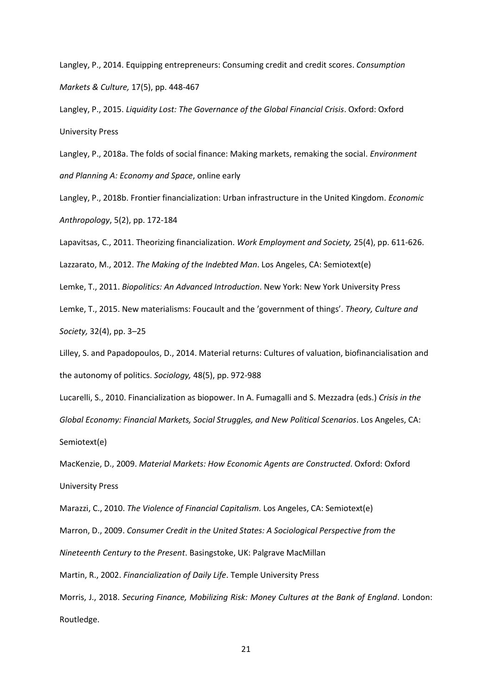Langley, P., 2014. Equipping entrepreneurs: Consuming credit and credit scores. *Consumption Markets & Culture,* 17(5), pp. 448-467

Langley, P., 2015. *Liquidity Lost: The Governance of the Global Financial Crisis*. Oxford: Oxford University Press

Langley, P., 2018a. The folds of social finance: Making markets, remaking the social. *Environment and Planning A: Economy and Space*, online early

Langley, P., 2018b. Frontier financialization: Urban infrastructure in the United Kingdom. *Economic Anthropology*, 5(2), pp. 172-184

Lapavitsas, C., 2011. Theorizing financialization. *Work Employment and Society,* 25(4), pp. 611-626.

Lazzarato, M., 2012. *The Making of the Indebted Man*. Los Angeles, CA: Semiotext(e)

Lemke, T., 2011. *Biopolitics: An Advanced Introduction*. New York: New York University Press

Lemke, T., 2015. New materialisms: Foucault and the 'government of things'. *Theory, Culture and Society,* 32(4), pp. 3–25

Lilley, S. and Papadopoulos, D., 2014. Material returns: Cultures of valuation, biofinancialisation and the autonomy of politics. *Sociology,* 48(5), pp. 972-988

Lucarelli, S., 2010. Financialization as biopower. In A. Fumagalli and S. Mezzadra (eds.) *Crisis in the Global Economy: Financial Markets, Social Struggles, and New Political Scenarios*. Los Angeles, CA: Semiotext(e)

MacKenzie, D., 2009. *Material Markets: How Economic Agents are Constructed*. Oxford: Oxford University Press

Marazzi, C., 2010. *The Violence of Financial Capitalism.* Los Angeles, CA: Semiotext(e)

Marron, D., 2009. *Consumer Credit in the United States: A Sociological Perspective from the* 

*Nineteenth Century to the Present*. Basingstoke, UK: Palgrave MacMillan

Martin, R., 2002. *Financialization of Daily Life*. Temple University Press

Morris, J., 2018. *Securing Finance, Mobilizing Risk: Money Cultures at the Bank of England*. London: Routledge.